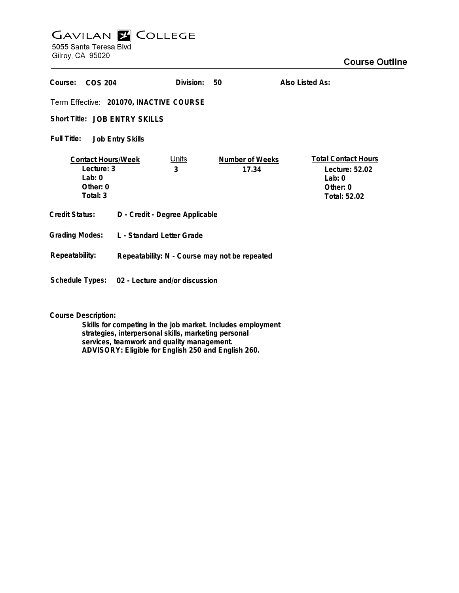## **GAVILAN E COLLEGE** 5055 Santa Teresa Blvd

Gilroy, CA 95020

| Course:<br>COS 204                                                           |                                                | Division:         | 50                       | Also Listed As:                                                                      |
|------------------------------------------------------------------------------|------------------------------------------------|-------------------|--------------------------|--------------------------------------------------------------------------------------|
| Term Effective: 201070, INACTIVE COURSE                                      |                                                |                   |                          |                                                                                      |
| Short Title: JOB ENTRY SKILLS                                                |                                                |                   |                          |                                                                                      |
| Full Title:<br><b>Job Entry Skills</b>                                       |                                                |                   |                          |                                                                                      |
| <b>Contact Hours/Week</b><br>Lecture: 3<br>$1$ ab: 0<br>Other: 0<br>Total: 3 |                                                | <u>Units</u><br>3 | Number of Weeks<br>17.34 | <b>Total Contact Hours</b><br>Lecture: 52.02<br>Lab: $0$<br>Other: 0<br>Total: 52.02 |
| <b>Credit Status:</b>                                                        | D - Credit - Degree Applicable                 |                   |                          |                                                                                      |
| <b>Grading Modes:</b>                                                        | L - Standard Letter Grade                      |                   |                          |                                                                                      |
| Repeatability:                                                               | Repeatability: N - Course may not be repeated  |                   |                          |                                                                                      |
|                                                                              | Schedule Types: 02 - Lecture and/or discussion |                   |                          |                                                                                      |

**Course Description:**

**Skills for competing in the job market. Includes employment strategies, interpersonal skills, marketing personal services, teamwork and quality management. ADVISORY: Eligible for English 250 and English 260.**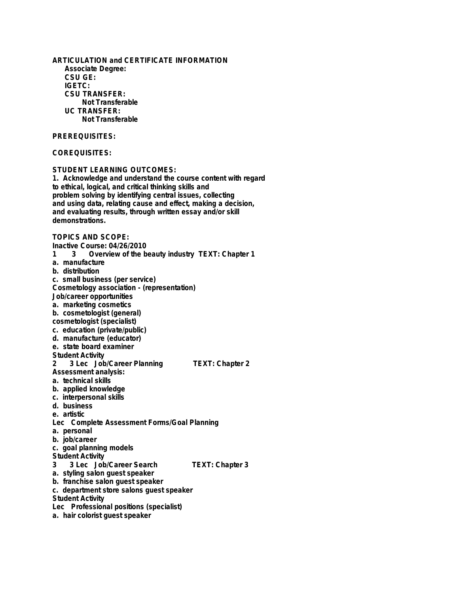**ARTICULATION and CERTIFICATE INFORMATION Associate Degree: CSU GE: IGETC: CSU TRANSFER: Not Transferable UC TRANSFER: Not Transferable PREREQUISITES: COREQUISITES: STUDENT LEARNING OUTCOMES: 1. Acknowledge and understand the course content with regard to ethical, logical, and critical thinking skills and problem solving by identifying central issues, collecting and using data, relating cause and effect, making a decision, and evaluating results, through written essay and/or skill demonstrations. TOPICS AND SCOPE: Inactive Course: 04/26/2010 1 3 Overview of the beauty industry TEXT: Chapter 1 a. manufacture b. distribution c. small business (per service) Cosmetology association - (representation) Job/career opportunities a. marketing cosmetics b. cosmetologist (general) cosmetologist (specialist) c. education (private/public) d. manufacture (educator) e. state board examiner Student Activity 2 3 Lec Job/Career Planning TEXT: Chapter 2 Assessment analysis: a. technical skills b. applied knowledge c. interpersonal skills d. business e. artistic Lec Complete Assessment Forms/Goal Planning a. personal b. job/career c. goal planning models Student Activity 3 3 Lec Job/Career Search TEXT: Chapter 3 a. styling salon guest speaker b. franchise salon guest speaker c. department store salons guest speaker Student Activity Lec Professional positions (specialist) a. hair colorist guest speaker**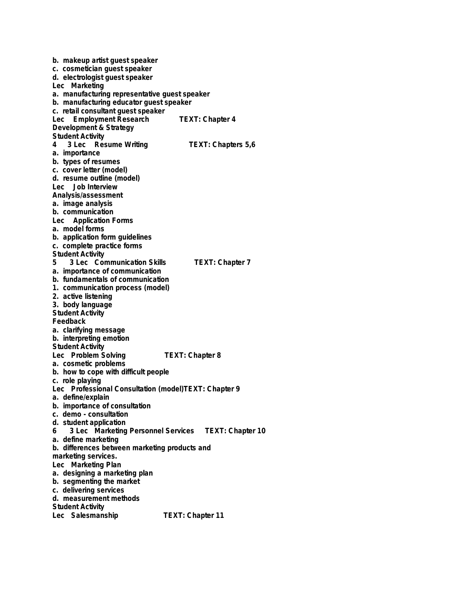**b. makeup artist guest speaker c. cosmetician guest speaker d. electrologist guest speaker Lec Marketing a. manufacturing representative guest speaker b. manufacturing educator guest speaker c. retail consultant guest speaker Lec Employment Research TEXT: Chapter 4 Development & Strategy Student Activity 4 3 Lec Resume Writing TEXT: Chapters 5,6 a. importance b. types of resumes c. cover letter (model) d. resume outline (model) Lec Job Interview Analysis/assessment a. image analysis b. communication Lec Application Forms a. model forms b. application form guidelines c. complete practice forms Student Activity 5 3 Lec Communication Skills TEXT: Chapter 7 a. importance of communication b. fundamentals of communication 1. communication process (model) 2. active listening 3. body language Student Activity Feedback a. clarifying message b. interpreting emotion Student Activity** Lec Problem Solving TEXT: Chapter 8 **a. cosmetic problems b. how to cope with difficult people c. role playing Lec Professional Consultation (model)TEXT: Chapter 9 a. define/explain b. importance of consultation c. demo - consultation d. student application 6 3 Lec Marketing Personnel Services TEXT: Chapter 10 a. define marketing b. differences between marketing products and marketing services. Lec Marketing Plan a. designing a marketing plan b. segmenting the market c. delivering services d. measurement methods Student Activity** Lec Salesmanship TEXT: Chapter 11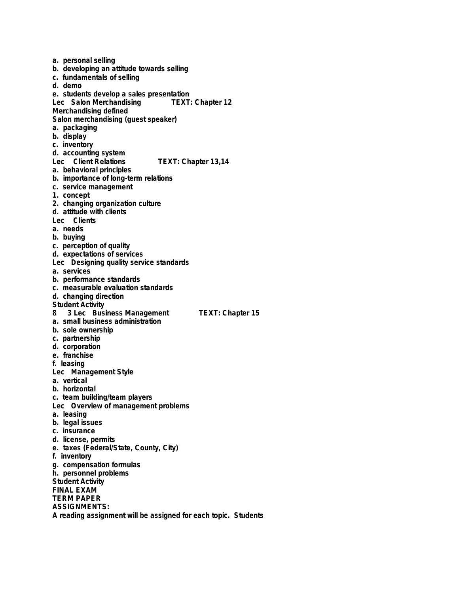**a. personal selling b. developing an attitude towards selling c. fundamentals of selling d. demo e. students develop a sales presentation Lec Salon Merchandising Merchandising defined Salon merchandising (guest speaker) a. packaging b. display c. inventory d. accounting system Lec Client Relations TEXT: Chapter 13,14 a. behavioral principles b. importance of long-term relations c. service management 1. concept 2. changing organization culture d. attitude with clients Lec Clients a. needs b. buying c. perception of quality d. expectations of services Lec Designing quality service standards a. services b. performance standards c. measurable evaluation standards d. changing direction Student Activity 8 3 Lec Business Management TEXT: Chapter 15 a. small business administration b. sole ownership c. partnership d. corporation e. franchise f. leasing Lec Management Style a. vertical b. horizontal c. team building/team players Lec Overview of management problems a. leasing b. legal issues c. insurance d. license, permits e. taxes (Federal/State, County, City) f. inventory g. compensation formulas h. personnel problems Student Activity FINAL EXAM TERM PAPER ASSIGNMENTS: A reading assignment will be assigned for each topic. Students**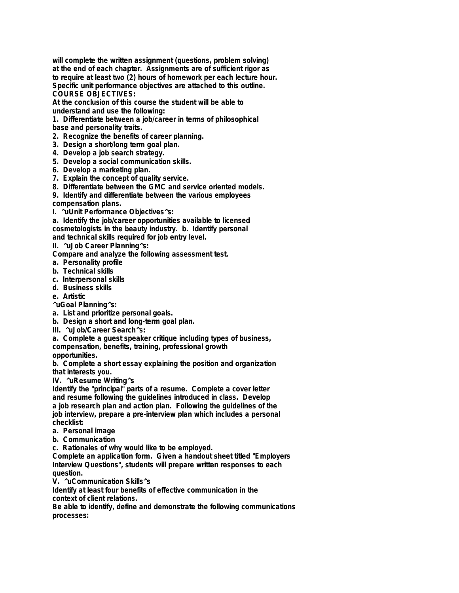**will complete the written assignment (questions, problem solving) at the end of each chapter. Assignments are of sufficient rigor as to require at least two (2) hours of homework per each lecture hour. Specific unit performance objectives are attached to this outline. COURSE OBJECTIVES:**

**At the conclusion of this course the student will be able to understand and use the following:**

**1. Differentiate between a job/career in terms of philosophical base and personality traits.**

- **2. Recognize the benefits of career planning.**
- **3. Design a short/long term goal plan.**
- **4. Develop a job search strategy.**
- **5. Develop a social communication skills.**
- **6. Develop a marketing plan.**
- **7. Explain the concept of quality service.**
- **8. Differentiate between the GMC and service oriented models.**
- **9. Identify and differentiate between the various employees**
- **compensation plans.**
- **I. ^uUnit Performance Objectives^s:**

**a. Identify the job/career opportunities available to licensed cosmetologists in the beauty industry. b. Identify personal and technical skills required for job entry level.**

**II. ^uJob Career Planning^s:**

**Compare and analyze the following assessment test.**

- **a. Personality profile**
- **b. Technical skills**
- **c. Interpersonal skills**
- **d. Business skills**
- **e. Artistic**
- **^uGoal Planning^s:**
- **a. List and prioritize personal goals.**
- **b. Design a short and long-term goal plan.**
- **III. ^uJob/Career Search^s:**
- **a. Complete a guest speaker critique including types of business,**

**compensation, benefits, training, professional growth**

**opportunities.**

**b. Complete a short essay explaining the position and organization that interests you.**

**IV. ^uResume Writing^s**

**Identify the "principal" parts of a resume. Complete a cover letter and resume following the guidelines introduced in class. Develop a job research plan and action plan. Following the guidelines of the job interview, prepare a pre-interview plan which includes a personal checklist:**

- **a. Personal image**
- **b. Communication**

**c. Rationales of why would like to be employed.**

**Complete an application form. Given a handout sheet titled "Employers Interview Questions", students will prepare written responses to each question.**

**V. ^uCommunication Skills^s**

**Identify at least four benefits of effective communication in the context of client relations.**

**Be able to identify, define and demonstrate the following communications processes:**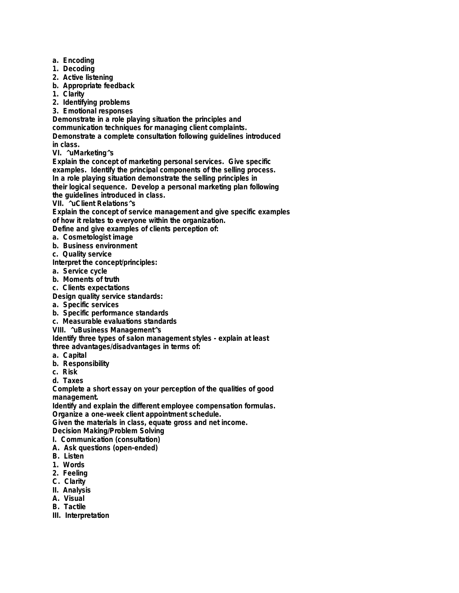- **a. Encoding**
- **1. Decoding**
- **2. Active listening**
- **b. Appropriate feedback**
- **1. Clarity**
- **2. Identifying problems**
- **3. Emotional responses**

**Demonstrate in a role playing situation the principles and communication techniques for managing client complaints. Demonstrate a complete consultation following guidelines introduced in class.**

**VI. ^uMarketing^s**

**Explain the concept of marketing personal services. Give specific examples. Identify the principal components of the selling process. In a role playing situation demonstrate the selling principles in their logical sequence. Develop a personal marketing plan following the guidelines introduced in class.**

**VII. ^uClient Relations^s**

**Explain the concept of service management and give specific examples of how it relates to everyone within the organization.**

**Define and give examples of clients perception of:**

- **a. Cosmetologist image**
- **b. Business environment**
- **c. Quality service**

**Interpret the concept/principles:**

- **a. Service cycle**
- **b. Moments of truth**
- **c. Clients expectations**
- **Design quality service standards:**
- **a. Specific services**
- **b. Specific performance standards**
- **c. Measurable evaluations standards**
- **VIII. ^uBusiness Management^s**

**Identify three types of salon management styles - explain at least**

**three advantages/disadvantages in terms of:**

- **a. Capital**
- **b. Responsibility**
- **c. Risk**
- **d. Taxes**

**Complete a short essay on your perception of the qualities of good management.**

**Identify and explain the different employee compensation formulas. Organize a one-week client appointment schedule.**

**Given the materials in class, equate gross and net income.**

- **Decision Making/Problem Solving**
- **I. Communication (consultation)**
- **A. Ask questions (open-ended)**
- **B. Listen**
- **1. Words**
- **2. Feeling**
- **C. Clarity**
- **II. Analysis**
- **A. Visual**
- **B. Tactile**
- **III. Interpretation**